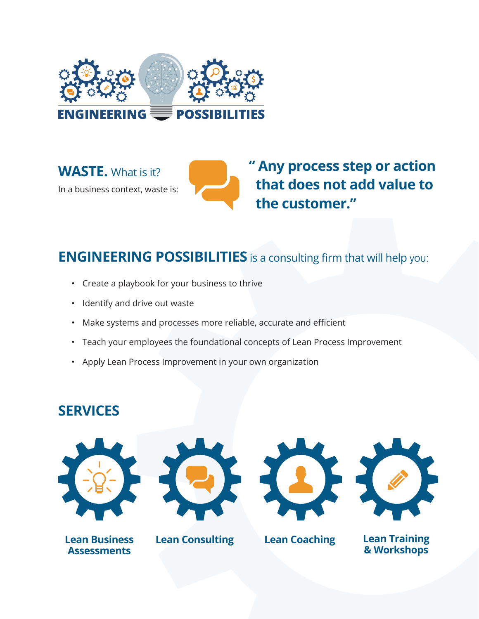

**WASTE.** What is it? In a business context, waste is: **" Any process step or action that does not add value to the customer."**

### **ENGINEERING POSSIBILITIES** is a consulting firm that will help you:

- Create a playbook for your business to thrive
- Identify and drive out waste
- Make systems and processes more reliable, accurate and efficient
- Teach your employees the foundational concepts of Lean Process Improvement
- Apply Lean Process Improvement in your own organization

### **SERVICES**











**Lean Coaching Lean Training & Workshops**